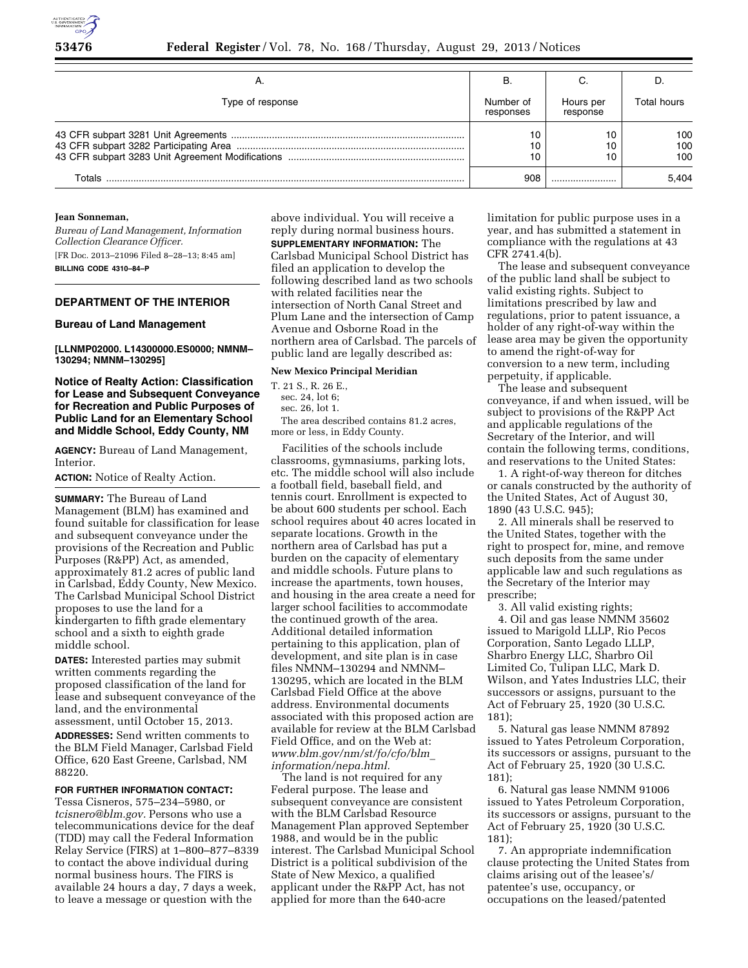

|                  | в                      |                       |                   |
|------------------|------------------------|-----------------------|-------------------|
| Type of response | Number of<br>responses | Hours per<br>response | Total hours       |
|                  | 10<br>10<br>10         |                       | 100<br>100<br>100 |
| Totals           | 908                    |                       | 5.404             |

### **Jean Sonneman,**

*Bureau of Land Management, Information Collection Clearance Officer.*  [FR Doc. 2013–21096 Filed 8–28–13; 8:45 am]

**BILLING CODE 4310–84–P** 

# **DEPARTMENT OF THE INTERIOR**

#### **Bureau of Land Management**

**[LLNMP02000. L14300000.ES0000; NMNM– 130294; NMNM–130295]** 

**Notice of Realty Action: Classification for Lease and Subsequent Conveyance for Recreation and Public Purposes of Public Land for an Elementary School and Middle School, Eddy County, NM** 

**AGENCY:** Bureau of Land Management, Interior.

**ACTION:** Notice of Realty Action.

**SUMMARY:** The Bureau of Land Management (BLM) has examined and found suitable for classification for lease and subsequent conveyance under the provisions of the Recreation and Public Purposes (R&PP) Act, as amended, approximately 81.2 acres of public land in Carlsbad, Eddy County, New Mexico. The Carlsbad Municipal School District proposes to use the land for a kindergarten to fifth grade elementary school and a sixth to eighth grade middle school.

**DATES:** Interested parties may submit written comments regarding the proposed classification of the land for lease and subsequent conveyance of the land, and the environmental assessment, until October 15, 2013.

**ADDRESSES:** Send written comments to the BLM Field Manager, Carlsbad Field Office, 620 East Greene, Carlsbad, NM 88220.

#### **FOR FURTHER INFORMATION CONTACT:**

Tessa Cisneros, 575–234–5980, or *[tcisnero@blm.gov.](mailto:tcisnero@blm.gov)* Persons who use a telecommunications device for the deaf (TDD) may call the Federal Information Relay Service (FIRS) at 1–800–877–8339 to contact the above individual during normal business hours. The FIRS is available 24 hours a day, 7 days a week, to leave a message or question with the

above individual. You will receive a reply during normal business hours. **SUPPLEMENTARY INFORMATION:** The Carlsbad Municipal School District has filed an application to develop the following described land as two schools with related facilities near the intersection of North Canal Street and Plum Lane and the intersection of Camp Avenue and Osborne Road in the northern area of Carlsbad. The parcels of public land are legally described as:

### **New Mexico Principal Meridian**

T. 21 S., R. 26 E.,

sec. 24, lot 6;

sec. 26, lot 1.

The area described contains 81.2 acres, more or less, in Eddy County.

Facilities of the schools include classrooms, gymnasiums, parking lots, etc. The middle school will also include a football field, baseball field, and tennis court. Enrollment is expected to be about 600 students per school. Each school requires about 40 acres located in separate locations. Growth in the northern area of Carlsbad has put a burden on the capacity of elementary and middle schools. Future plans to increase the apartments, town houses, and housing in the area create a need for larger school facilities to accommodate the continued growth of the area. Additional detailed information pertaining to this application, plan of development, and site plan is in case files NMNM–130294 and NMNM– 130295, which are located in the BLM Carlsbad Field Office at the above address. Environmental documents associated with this proposed action are available for review at the BLM Carlsbad Field Office, and on the Web at: *[www.blm.gov/nm/st/fo/cfo/blm](http://www.blm.gov/nm/st/fo/cfo/blm_information/nepa.html)*\_ *[information/nepa.html.](http://www.blm.gov/nm/st/fo/cfo/blm_information/nepa.html)* 

The land is not required for any Federal purpose. The lease and subsequent conveyance are consistent with the BLM Carlsbad Resource Management Plan approved September 1988, and would be in the public interest. The Carlsbad Municipal School District is a political subdivision of the State of New Mexico, a qualified applicant under the R&PP Act, has not applied for more than the 640-acre

limitation for public purpose uses in a year, and has submitted a statement in compliance with the regulations at 43 CFR 2741.4(b).

The lease and subsequent conveyance of the public land shall be subject to valid existing rights. Subject to limitations prescribed by law and regulations, prior to patent issuance, a holder of any right-of-way within the lease area may be given the opportunity to amend the right-of-way for conversion to a new term, including perpetuity, if applicable.

The lease and subsequent conveyance, if and when issued, will be subject to provisions of the R&PP Act and applicable regulations of the Secretary of the Interior, and will contain the following terms, conditions, and reservations to the United States:

1. A right-of-way thereon for ditches or canals constructed by the authority of the United States, Act of August 30, 1890 (43 U.S.C. 945);

2. All minerals shall be reserved to the United States, together with the right to prospect for, mine, and remove such deposits from the same under applicable law and such regulations as the Secretary of the Interior may prescribe;

3. All valid existing rights;

4. Oil and gas lease NMNM 35602 issued to Marigold LLLP, Rio Pecos Corporation, Santo Legado LLLP, Sharbro Energy LLC, Sharbro Oil Limited Co, Tulipan LLC, Mark D. Wilson, and Yates Industries LLC, their successors or assigns, pursuant to the Act of February 25, 1920 (30 U.S.C. 181);

5. Natural gas lease NMNM 87892 issued to Yates Petroleum Corporation, its successors or assigns, pursuant to the Act of February 25, 1920 (30 U.S.C. 181);

6. Natural gas lease NMNM 91006 issued to Yates Petroleum Corporation, its successors or assigns, pursuant to the Act of February 25, 1920 (30 U.S.C. 181);

7. An appropriate indemnification clause protecting the United States from claims arising out of the leasee's/ patentee's use, occupancy, or occupations on the leased/patented